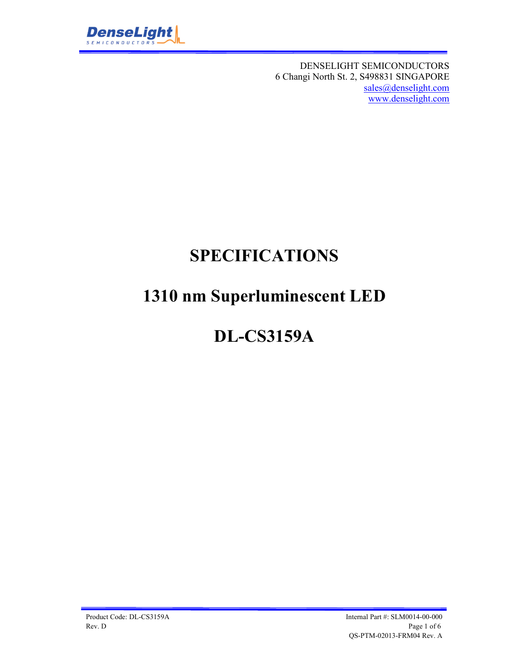

DENSELIGHT SEMICONDUCTORS 6 Changi North St. 2, S498831 SINGAPORE sales@denselight.com www.denselight.com

# **SPECIFICATIONS**

# **1310 nm Superluminescent LED**

# **DL-CS3159A**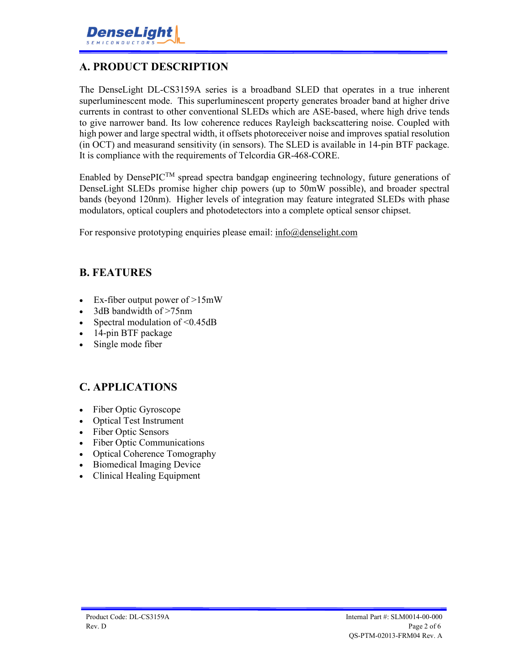## **A. PRODUCT DESCRIPTION**

The DenseLight DL-CS3159A series is a broadband SLED that operates in a true inherent superluminescent mode. This superluminescent property generates broader band at higher drive currents in contrast to other conventional SLEDs which are ASE-based, where high drive tends to give narrower band. Its low coherence reduces Rayleigh backscattering noise. Coupled with high power and large spectral width, it offsets photoreceiver noise and improves spatial resolution (in OCT) and measurand sensitivity (in sensors). The SLED is available in 14-pin BTF package. It is compliance with the requirements of Telcordia GR-468-CORE.

Enabled by DensePIC<sup>TM</sup> spread spectra bandgap engineering technology, future generations of DenseLight SLEDs promise higher chip powers (up to 50mW possible), and broader spectral bands (beyond 120nm). Higher levels of integration may feature integrated SLEDs with phase modulators, optical couplers and photodetectors into a complete optical sensor chipset.

For responsive prototyping enquiries please email: info@denselight.com

#### **B. FEATURES**

- Ex-fiber output power of  $>15$ mW
- 3dB bandwidth of >75nm
- Spectral modulation of  $\leq 0.45$ dB
- 14-pin BTF package
- Single mode fiber

### **C. APPLICATIONS**

- Fiber Optic Gyroscope
- Optical Test Instrument
- Fiber Optic Sensors
- Fiber Optic Communications
- Optical Coherence Tomography
- Biomedical Imaging Device
- Clinical Healing Equipment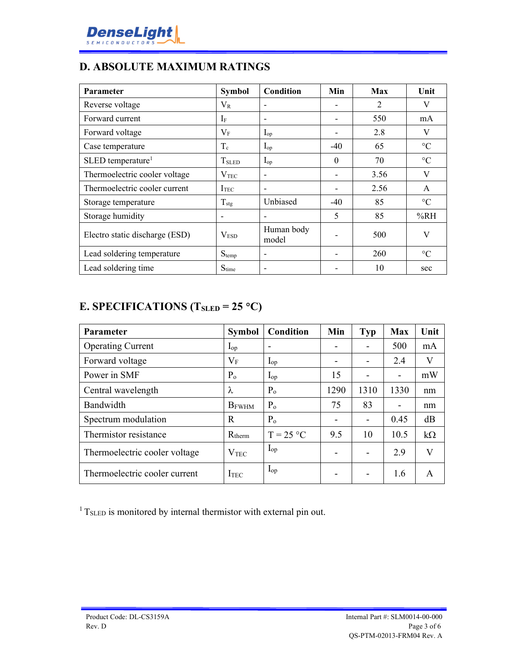## **D. ABSOLUTE MAXIMUM RATINGS**

| <b>Parameter</b>                | <b>Symbol</b>     | <b>Condition</b>         | Min      | Max  | Unit            |
|---------------------------------|-------------------|--------------------------|----------|------|-----------------|
| Reverse voltage                 | $\rm V_R$         |                          |          | 2    | V               |
| Forward current                 | $I_F$             |                          |          | 550  | mA              |
| Forward voltage                 | $\rm V_F$         | $I_{op}$                 | -        | 2.8  | V               |
| Case temperature                | $T_c$             | $I_{op}$                 | $-40$    | 65   | $\rm ^{\circ}C$ |
| $SLED$ temperature <sup>1</sup> | T <sub>SLED</sub> | $I_{op}$                 | $\theta$ | 70   | $\rm ^{\circ}C$ |
| Thermoelectric cooler voltage   | $\rm V_{TEC}$     |                          |          | 3.56 | V               |
| Thermoelectric cooler current   | I <sub>TEC</sub>  |                          |          | 2.56 | $\mathsf{A}$    |
| Storage temperature             | $T_{\text{stg}}$  | Unbiased                 | $-40$    | 85   | $\rm ^{\circ}C$ |
| Storage humidity                |                   |                          | 5        | 85   | %RH             |
| Electro static discharge (ESD)  | V <sub>ESD</sub>  | Human body<br>model      |          | 500  | V               |
| Lead soldering temperature      | $S_{temp}$        |                          |          | 260  | $\rm ^{\circ}C$ |
| Lead soldering time             | $S_{time}$        | $\overline{\phantom{0}}$ |          | 10   | sec             |

## **E. SPECIFICATIONS (TSLED = 25 C)**

| Parameter                     | <b>Symbol</b>    | Condition      | Min                      | Typ  | <b>Max</b>                   | Unit      |
|-------------------------------|------------------|----------------|--------------------------|------|------------------------------|-----------|
| <b>Operating Current</b>      | $I_{op}$         |                | $\overline{\phantom{0}}$ |      | 500                          | mA        |
| Forward voltage               | $\rm V_F$        | $I_{op}$       | $\overline{\phantom{0}}$ |      | 2.4                          | V         |
| Power in SMF                  | $P_{o}$          | $I_{op}$       | 15                       |      | $\qquad \qquad \blacksquare$ | mW        |
| Central wavelength            | $\lambda$        | $P_{o}$        | 1290                     | 1310 | 1330                         | nm        |
| Bandwidth                     | <b>B</b> FWHM    | P <sub>o</sub> | 75                       | 83   | $\blacksquare$               | nm        |
| Spectrum modulation           | R                | P <sub>o</sub> | -                        |      | 0.45                         | dB        |
| Thermistor resistance         | $R_{therm}$      | $T = 25 °C$    | 9.5                      | 10   | 10.5                         | $k\Omega$ |
| Thermoelectric cooler voltage | V <sub>TEC</sub> | $I_{op}$       | $\overline{\phantom{0}}$ |      | 2.9                          | $\rm V$   |
| Thermoelectric cooler current | I <sub>TEC</sub> | $I_{op}$       |                          |      | 1.6                          | A         |

 $1$ <sup>1</sup> T<sub>SLED</sub> is monitored by internal thermistor with external pin out.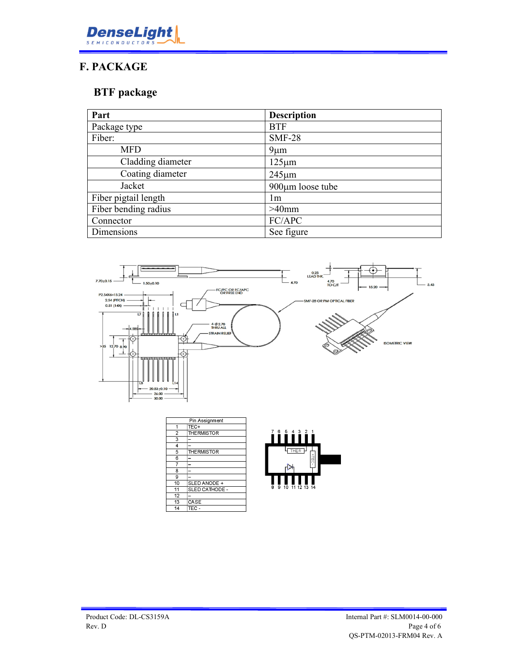

## **F. PACKAGE**

## **BTF package**

| Part                 | <b>Description</b> |
|----------------------|--------------------|
| Package type         | <b>BTF</b>         |
| Fiber:               | <b>SMF-28</b>      |
| MFD                  | $9 \mu m$          |
| Cladding diameter    | $125 \mu m$        |
| Coating diameter     | $245 \mu m$        |
| Jacket               | 900µm loose tube   |
| Fiber pigtail length | lm                 |
| Fiber bending radius | $>40$ mm           |
| Connector            | FC/APC             |
| Dimensions           | See figure         |



| Pin Assignment  |                    |
|-----------------|--------------------|
| 1               | TEC+               |
| $\overline{2}$  | THERMISTOR         |
| 3               |                    |
| 4               |                    |
| 5               | <b>THE RMISTOR</b> |
| 6               |                    |
| 7               |                    |
| 8               |                    |
| 9               |                    |
| 10              | SLED ANODE +       |
| 11              | SLED CATHODE -     |
| $\overline{12}$ |                    |
| 13              | CASE               |
| 14              | TEC -              |

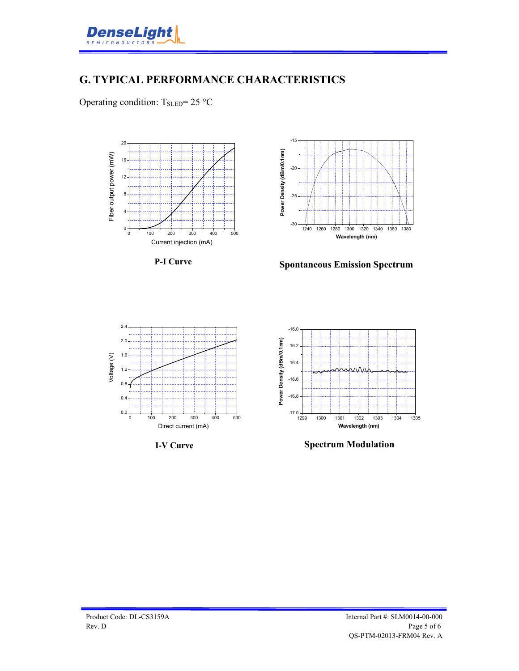

#### **G. TYPICAL PERFORMANCE CHARACTERISTICS**

Operating condition: TsLED= 25 °C







**Spontaneous Emission Spectrum**